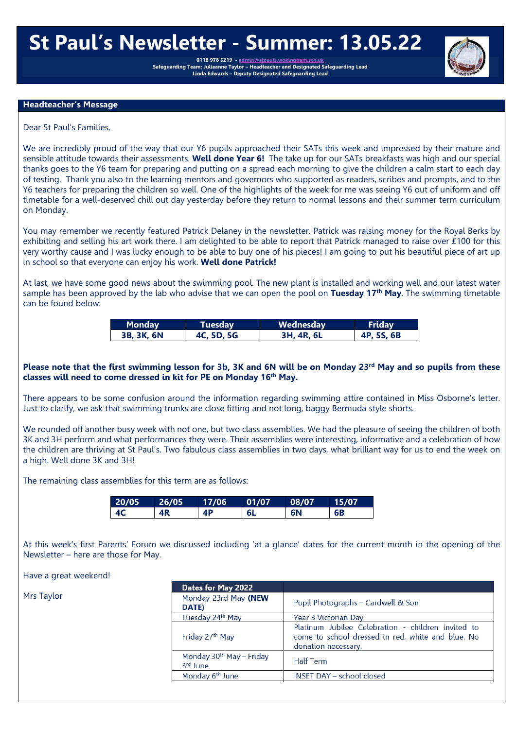# **St Paul's Newsletter - Summer: 13.05.22**

0118 978 5219 - **admin@stpa Safeguarding Team: Julieanne Taylor – Headteacher and Designated Safeguarding Lead Linda Edwards – Deputy Designated Safeguarding Lead**

#### **Headteacher's Message**

Dear St Paul's Families,

We are incredibly proud of the way that our Y6 pupils approached their SATs this week and impressed by their mature and sensible attitude towards their assessments. **Well done Year 6!** The take up for our SATs breakfasts was high and our special thanks goes to the Y6 team for preparing and putting on a spread each morning to give the children a calm start to each day of testing. Thank you also to the learning mentors and governors who supported as readers, scribes and prompts, and to the Y6 teachers for preparing the children so well. One of the highlights of the week for me was seeing Y6 out of uniform and off timetable for a well-deserved chill out day yesterday before they return to normal lessons and their summer term curriculum on Monday.

You may remember we recently featured Patrick Delaney in the newsletter. Patrick was raising money for the Royal Berks by exhibiting and selling his art work there. I am delighted to be able to report that Patrick managed to raise over £100 for this very worthy cause and I was lucky enough to be able to buy one of his pieces! I am going to put his beautiful piece of art up in school so that everyone can enjoy his work. **Well done Patrick!**

At last, we have some good news about the swimming pool. The new plant is installed and working well and our latest water sample has been approved by the lab who advise that we can open the pool on **Tuesday 17th May**. The swimming timetable can be found below:

| Monday     | Tuesdav'   | Wednesday  | <b>Friday</b> |
|------------|------------|------------|---------------|
| 3B, 3K, 6N | 4C, 5D, 5G | 3H, 4R, 6L | 4P, 5S, 6B    |

## Please note that the first swimming lesson for 3b, 3K and 6N will be on Monday 23<sup>rd</sup> May and so pupils from these **classes will need to come dressed in kit for PE on Monday 16th May.**

There appears to be some confusion around the information regarding swimming attire contained in Miss Osborne's letter. Just to clarify, we ask that swimming trunks are close fitting and not long, baggy Bermuda style shorts.

We rounded off another busy week with not one, but two class assemblies. We had the pleasure of seeing the children of both 3K and 3H perform and what performances they were. Their assemblies were interesting, informative and a celebration of how the children are thriving at St Paul's. Two fabulous class assemblies in two days, what brilliant way for us to end the week on a high. Well done 3K and 3H!

The remaining class assemblies for this term are as follows:

| .20/05 | 26/05 | 17/06 | 01/07 | 08/07 | 15/07 |
|--------|-------|-------|-------|-------|-------|
|        | 4R    | 4P    | -6L   | 6N    | 6B    |

At this week's first Parents' Forum we discussed including 'at a glance' dates for the current month in the opening of the Newsletter – here are those for May.

Have a great weekend!

|            | Dates for May 2022                                           |                                                                                                                                |
|------------|--------------------------------------------------------------|--------------------------------------------------------------------------------------------------------------------------------|
| Mrs Taylor | Monday 23rd May (NEW<br>DATE)                                | Pupil Photographs - Cardwell & Son                                                                                             |
|            | Tuesday 24th May                                             | Year 3 Victorian Day                                                                                                           |
|            | Friday 27th May                                              | Platinum Jubilee Celebration - children invited to<br>come to school dressed in red, white and blue. No<br>donation necessary. |
|            | Monday 30 <sup>th</sup> May - Friday<br>3 <sup>rd</sup> June | <b>Half Term</b>                                                                                                               |
|            | Monday 6 <sup>th</sup> June                                  | <b>INSET DAY - school closed</b>                                                                                               |
|            |                                                              |                                                                                                                                |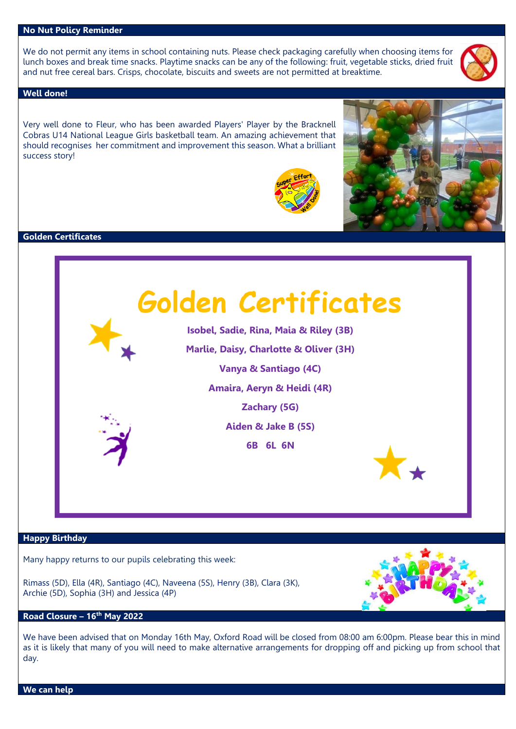#### **No Nut Policy Reminder**

We do not permit any items in school containing nuts. Please check packaging carefully when choosing items for lunch boxes and break time snacks. Playtime snacks can be any of the following: fruit, vegetable sticks, dried fruit and nut free cereal bars. Crisps, chocolate, biscuits and sweets are not permitted at breaktime.

#### **Well done!**

Very well done to Fleur, who has been awarded Players' Player by the Bracknell Cobras U14 National League Girls basketball team. An amazing achievement that should recognises her commitment and improvement this season. What a brilliant success story!





#### **Golden Certificates**



#### **Happy Birthday**

Many happy returns to our pupils celebrating this week:

Rimass (5D), Ella (4R), Santiago (4C), Naveena (5S), Henry (3B), Clara (3K), Archie (5D), Sophia (3H) and Jessica (4P)



We have been advised that on Monday 16th May, Oxford Road will be closed from 08:00 am 6:00pm. Please bear this in mind as it is likely that many of you will need to make alternative arrangements for dropping off and picking up from school that day.

**We can help**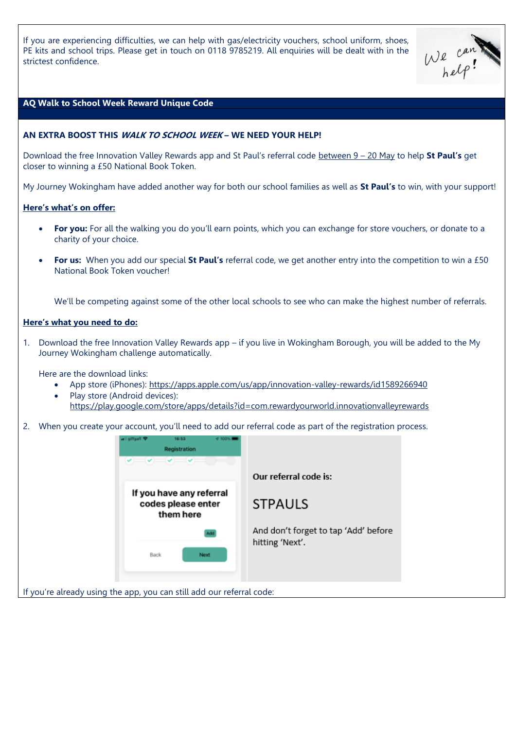If you are experiencing difficulties, we can help with gas/electricity vouchers, school uniform, shoes, PE kits and school trips. Please get in touch on 0118 9785219. All enquiries will be dealt with in the strictest confidence.



## **AQ Walk to School Week Reward Unique Code**

## **AN EXTRA BOOST THIS WALK TO SCHOOL WEEK – WE NEED YOUR HELP!**

Download the free Innovation Valley Rewards app and St Paul's referral code between 9 – 20 May to help **St Paul's** get closer to winning a £50 National Book Token.

My Journey Wokingham have added another way for both our school families as well as **St Paul's** to win, with your support!

#### **Here's what's on offer:**

- **For you:** For all the walking you do you'll earn points, which you can exchange for store vouchers, or donate to a charity of your choice.
- **For us:** When you add our special **St Paul's** referral code, we get another entry into the competition to win a £50 National Book Token voucher!

We'll be competing against some of the other local schools to see who can make the highest number of referrals.

#### **Here's what you need to do:**

If you're

1. Download the free Innovation Valley Rewards app – if you live in Wokingham Borough, you will be added to the My Journey Wokingham challenge automatically.

Here are the download links:

- App store (iPhones):<https://apps.apple.com/us/app/innovation-valley-rewards/id1589266940>
- Play store (Android devices): <https://play.google.com/store/apps/details?id=com.rewardyourworld.innovationvalleyrewards>
- 2. When you create your account, you'll need to add our referral code as part of the registration process.

| 16:53<br>47 100%  <br>officialT<br>Registration                                                                                                                                                                                                                                                                                                                                                                                                           |                                                         |
|-----------------------------------------------------------------------------------------------------------------------------------------------------------------------------------------------------------------------------------------------------------------------------------------------------------------------------------------------------------------------------------------------------------------------------------------------------------|---------------------------------------------------------|
| $\begin{array}{c c c c c c} \hline \multicolumn{3}{c c }{\mathbf{v}} & \multicolumn{3}{c }{\mathbf{v}} & \multicolumn{3}{c }{\mathbf{v}} & \multicolumn{3}{c }{\mathbf{v}} \\ \hline \multicolumn{3}{c }{\mathbf{v}} & \multicolumn{3}{c }{\mathbf{v}} & \multicolumn{3}{c }{\mathbf{v}} & \multicolumn{3}{c }{\mathbf{v}} & \multicolumn{3}{c }{\mathbf{v}} \\ \hline \multicolumn{3}{c }{\mathbf{v}} & \multicolumn{3}{c }{\mathbf{v}} & \multicolumn{$ | Our referral code is:                                   |
| If you have any referral                                                                                                                                                                                                                                                                                                                                                                                                                                  |                                                         |
| codes please enter<br>them here                                                                                                                                                                                                                                                                                                                                                                                                                           | <b>STPAULS</b>                                          |
|                                                                                                                                                                                                                                                                                                                                                                                                                                                           | And don't forget to tap 'Add' before<br>hitting 'Next'. |
| Back<br>Next                                                                                                                                                                                                                                                                                                                                                                                                                                              |                                                         |
|                                                                                                                                                                                                                                                                                                                                                                                                                                                           |                                                         |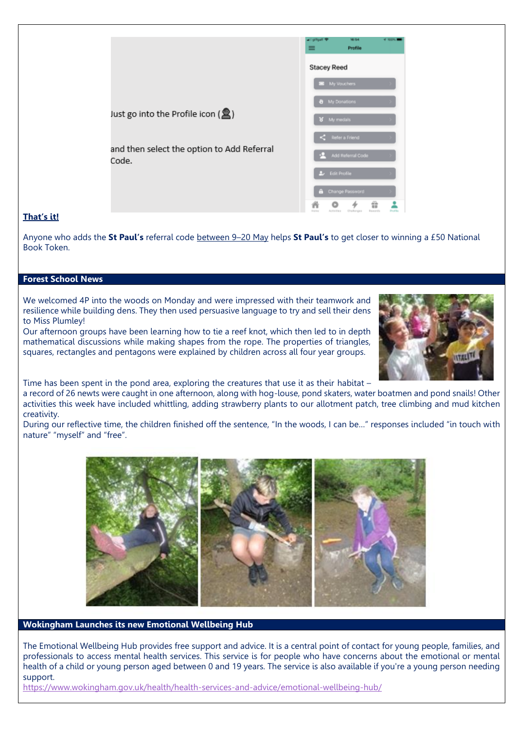|                                                          | 16/34<br><b>VE 30 DNL B</b><br>officer ?<br>Profile                    |
|----------------------------------------------------------|------------------------------------------------------------------------|
|                                                          | <b>Stacey Reed</b>                                                     |
|                                                          | My Vouchers                                                            |
|                                                          | <b>&amp;</b> My Donations                                              |
| Just go into the Profile icon $\left(\frac{1}{2}\right)$ | 8 My medals                                                            |
|                                                          | $\zeta$ Refer a Friend                                                 |
| and then select the option to Add Referral<br>Code.      | Add Referral Code                                                      |
|                                                          | <b>A</b> Edit Profile                                                  |
|                                                          | <b>&amp;</b> Change Password                                           |
|                                                          | ŵ<br><b>ProFile</b><br>Activities Chefonges<br>Envertis<br><b>HOPE</b> |

# **That's it!**

Anyone who adds the **St Paul's** referral code between 9–20 May helps **St Paul's** to get closer to winning a £50 National Book Token.

## **Forest School News**

We welcomed 4P into the woods on Monday and were impressed with their teamwork and resilience while building dens. They then used persuasive language to try and sell their dens to Miss Plumley!

Our afternoon groups have been learning how to tie a reef knot, which then led to in depth mathematical discussions while making shapes from the rope. The properties of triangles, squares, rectangles and pentagons were explained by children across all four year groups.



Time has been spent in the pond area, exploring the creatures that use it as their habitat –

a record of 26 newts were caught in one afternoon, along with hog-louse, pond skaters, water boatmen and pond snails! Other activities this week have included whittling, adding strawberry plants to our allotment patch, tree climbing and mud kitchen creativity.

During our reflective time, the children finished off the sentence, "In the woods, I can be…" responses included "in touch with nature" "myself" and "free".



#### **Wokingham Launches its new Emotional Wellbeing Hub**

The Emotional Wellbeing Hub provides free support and advice. It is a central point of contact for young people, families, and professionals to access mental health services. This service is for people who have concerns about the emotional or mental health of a child or young person aged between 0 and 19 years. The service is also available if you're a young person needing support.

<https://www.wokingham.gov.uk/health/health-services-and-advice/emotional-wellbeing-hub/>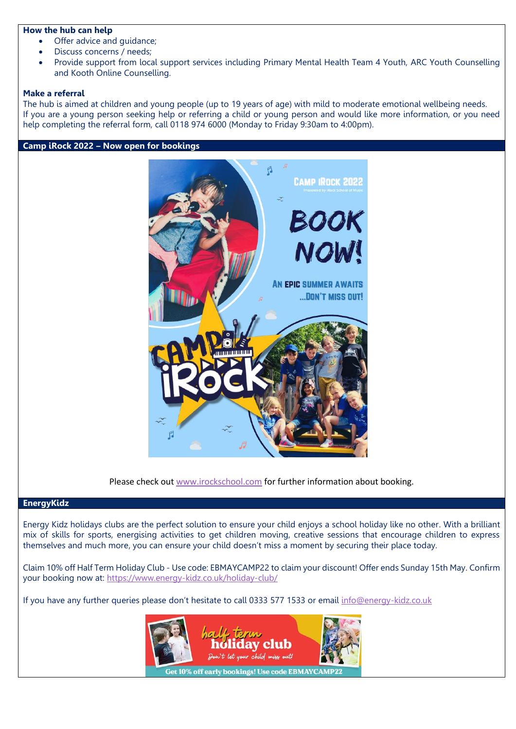#### **How the hub can help**

- Offer advice and quidance;
- Discuss concerns / needs;
- Provide support from local support services including Primary Mental Health Team 4 Youth, ARC Youth Counselling and Kooth Online Counselling.

## **Make a referral**

The hub is aimed at children and young people (up to 19 years of age) with mild to moderate emotional wellbeing needs. If you are a young person seeking help or referring a child or young person and would like more information, or you need help completing the referral form, call 0118 974 6000 (Monday to Friday 9:30am to 4:00pm).

#### **Camp iRock 2022 – Now open for bookings**



Please check out [www.irockschool.com](http://www.irockschool.com/) for further information about booking.

## **EnergyKidz**

Energy Kidz holidays clubs are the perfect solution to ensure your child enjoys a school holiday like no other. With a brilliant mix of skills for sports, energising activities to get children moving, creative sessions that encourage children to express themselves and much more, you can ensure your child doesn't miss a moment by securing their place today.

Claim 10% off Half Term Holiday Club - Use code: EBMAYCAMP22 to claim your discount! Offer ends Sunday 15th May. Confirm your booking now at:<https://www.energy-kidz.co.uk/holiday-club/>

If you have any further queries please don't hesitate to call 0333 577 1533 or email [info@energy-kidz.co.uk](mailto:info@energy-kidz.co.uk)

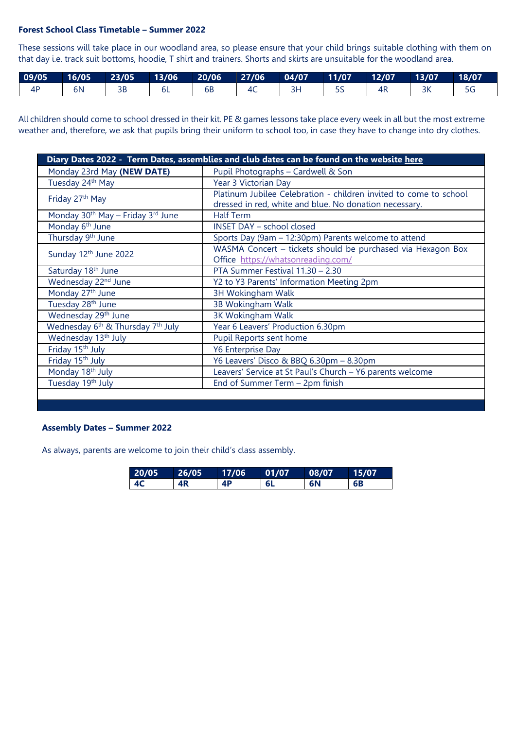# **Forest School Class Timetable – Summer 2022**

These sessions will take place in our woodland area, so please ensure that your child brings suitable clothing with them on that day i.e. track suit bottoms, hoodie, T shirt and trainers. Shorts and skirts are unsuitable for the woodland area.

|                 |                 | 09/05   16/05   23/05   13/06   20/06   27/06   04/07   11/07   12/07   13/07   18/07 |  |  |  |  |
|-----------------|-----------------|---------------------------------------------------------------------------------------|--|--|--|--|
| $\overline{4P}$ | $\overline{6N}$ | 3B   6L   6B   4C   3H   5S   4R   3K                                                 |  |  |  |  |

All children should come to school dressed in their kit. PE & games lessons take place every week in all but the most extreme weather and, therefore, we ask that pupils bring their uniform to school too, in case they have to change into dry clothes.

| Diary Dates 2022 - Term Dates, assemblies and club dates can be found on the website here |                                                                                                                             |  |  |  |
|-------------------------------------------------------------------------------------------|-----------------------------------------------------------------------------------------------------------------------------|--|--|--|
| Monday 23rd May (NEW DATE)                                                                | Pupil Photographs - Cardwell & Son                                                                                          |  |  |  |
| Tuesday 24 <sup>th</sup> May                                                              | Year 3 Victorian Day                                                                                                        |  |  |  |
| Friday 27 <sup>th</sup> May                                                               | Platinum Jubilee Celebration - children invited to come to school<br>dressed in red, white and blue. No donation necessary. |  |  |  |
| Monday 30 <sup>th</sup> May - Friday 3 <sup>rd</sup> June                                 | <b>Half Term</b>                                                                                                            |  |  |  |
| Monday 6 <sup>th</sup> June                                                               | <b>INSET DAY - school closed</b>                                                                                            |  |  |  |
| Thursday 9 <sup>th</sup> June                                                             | Sports Day (9am - 12:30pm) Parents welcome to attend                                                                        |  |  |  |
| Sunday 12th June 2022                                                                     | WASMA Concert - tickets should be purchased via Hexagon Box<br>Office https://whatsonreading.com/                           |  |  |  |
| Saturday 18 <sup>th</sup> June                                                            | PTA Summer Festival 11.30 - 2.30                                                                                            |  |  |  |
| Wednesday 22 <sup>nd</sup> June                                                           | Y2 to Y3 Parents' Information Meeting 2pm                                                                                   |  |  |  |
| Monday 27 <sup>th</sup> June                                                              | <b>3H Wokingham Walk</b>                                                                                                    |  |  |  |
| Tuesday 28 <sup>th</sup> June                                                             | 3B Wokingham Walk                                                                                                           |  |  |  |
| Wednesday 29 <sup>th</sup> June                                                           | 3K Wokingham Walk                                                                                                           |  |  |  |
| Wednesday 6 <sup>th</sup> & Thursday 7 <sup>th</sup> July                                 | Year 6 Leavers' Production 6.30pm                                                                                           |  |  |  |
| Wednesday 13 <sup>th</sup> July                                                           | Pupil Reports sent home                                                                                                     |  |  |  |
| Friday 15 <sup>th</sup> July                                                              | <b>Y6 Enterprise Day</b>                                                                                                    |  |  |  |
| Friday 15 <sup>th</sup> July                                                              | Y6 Leavers' Disco & BBQ 6.30pm - 8.30pm                                                                                     |  |  |  |
| Monday 18th July                                                                          | Leavers' Service at St Paul's Church - Y6 parents welcome                                                                   |  |  |  |
| Tuesday 19th July                                                                         | End of Summer Term - 2pm finish                                                                                             |  |  |  |
|                                                                                           |                                                                                                                             |  |  |  |

## **Assembly Dates – Summer 2022**

As always, parents are welcome to join their child's class assembly.

| 20/05          | 26/05 | 17/06 | 01/07     | 08/07 | 15/07 |
|----------------|-------|-------|-----------|-------|-------|
| 4 <sup>C</sup> | 4R    | 4P    | <b>6L</b> | 6N    | 6B    |